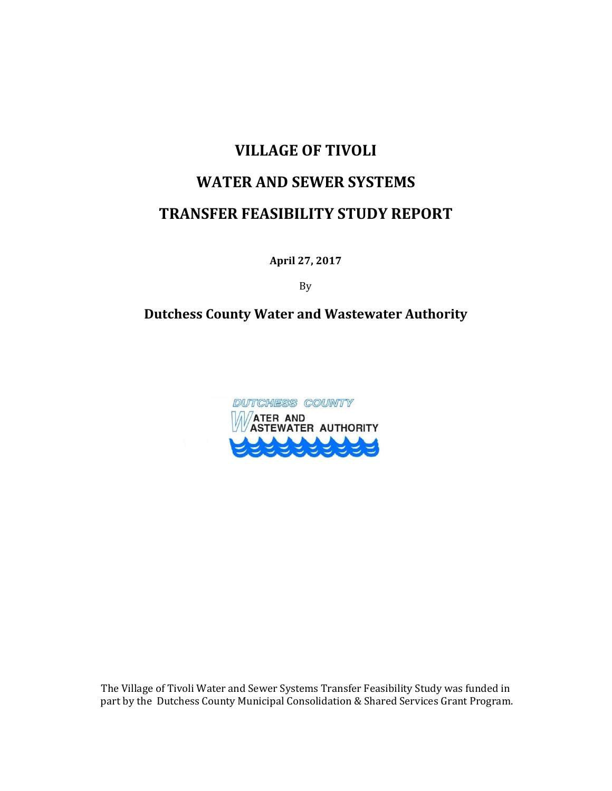# **VILLAGE OF TIVOLI**

# **WATER AND SEWER SYSTEMS**

# **TRANSFER FEASIBILITY STUDY REPORT**

**April 27, 2017**

By 

### **Dutchess County Water and Wastewater Authority**



The Village of Tivoli Water and Sewer Systems Transfer Feasibility Study was funded in part by the Dutchess County Municipal Consolidation & Shared Services Grant Program.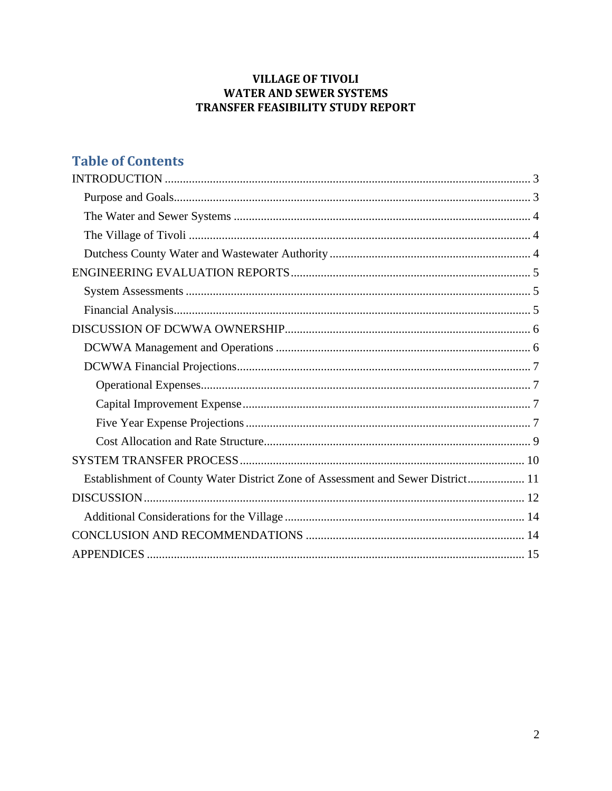### **VILLAGE OF TIVOLI WATER AND SEWER SYSTEMS** TRANSFER FEASIBILITY STUDY REPORT

# **Table of Contents**

| Establishment of County Water District Zone of Assessment and Sewer District 11 |
|---------------------------------------------------------------------------------|
|                                                                                 |
|                                                                                 |
|                                                                                 |
|                                                                                 |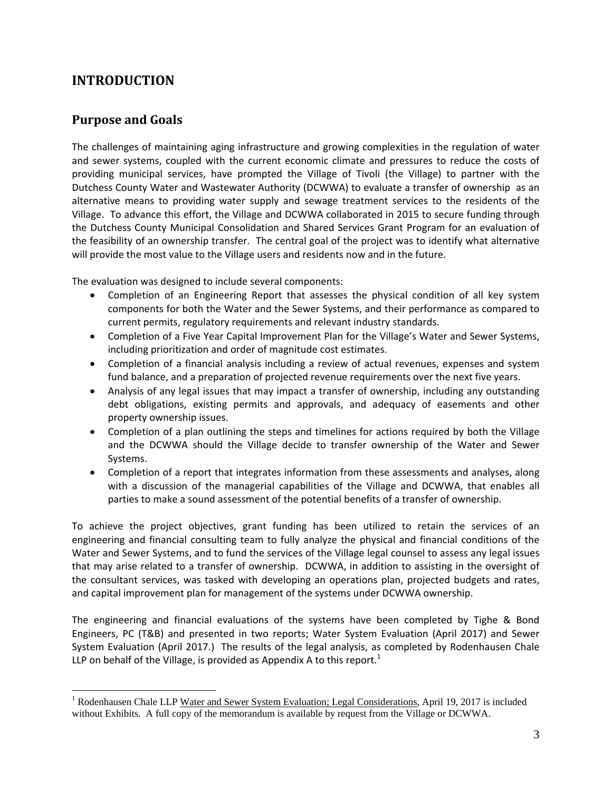# **INTRODUCTION**

### **Purpose and Goals**

 $\overline{a}$ 

The challenges of maintaining aging infrastructure and growing complexities in the regulation of water and sewer systems, coupled with the current economic climate and pressures to reduce the costs of providing municipal services, have prompted the Village of Tivoli (the Village) to partner with the Dutchess County Water and Wastewater Authority (DCWWA) to evaluate a transfer of ownership as an alternative means to providing water supply and sewage treatment services to the residents of the Village. To advance this effort, the Village and DCWWA collaborated in 2015 to secure funding through the Dutchess County Municipal Consolidation and Shared Services Grant Program for an evaluation of the feasibility of an ownership transfer. The central goal of the project was to identify what alternative will provide the most value to the Village users and residents now and in the future.

The evaluation was designed to include several components:

- Completion of an Engineering Report that assesses the physical condition of all key system components for both the Water and the Sewer Systems, and their performance as compared to current permits, regulatory requirements and relevant industry standards.
- Completion of a Five Year Capital Improvement Plan for the Village's Water and Sewer Systems, including prioritization and order of magnitude cost estimates.
- Completion of a financial analysis including a review of actual revenues, expenses and system fund balance, and a preparation of projected revenue requirements over the next five years.
- Analysis of any legal issues that may impact a transfer of ownership, including any outstanding debt obligations, existing permits and approvals, and adequacy of easements and other property ownership issues.
- Completion of a plan outlining the steps and timelines for actions required by both the Village and the DCWWA should the Village decide to transfer ownership of the Water and Sewer Systems.
- Completion of a report that integrates information from these assessments and analyses, along with a discussion of the managerial capabilities of the Village and DCWWA, that enables all parties to make a sound assessment of the potential benefits of a transfer of ownership.

To achieve the project objectives, grant funding has been utilized to retain the services of an engineering and financial consulting team to fully analyze the physical and financial conditions of the Water and Sewer Systems, and to fund the services of the Village legal counsel to assess any legal issues that may arise related to a transfer of ownership. DCWWA, in addition to assisting in the oversight of the consultant services, was tasked with developing an operations plan, projected budgets and rates, and capital improvement plan for management of the systems under DCWWA ownership.

The engineering and financial evaluations of the systems have been completed by Tighe & Bond Engineers, PC (T&B) and presented in two reports; Water System Evaluation (April 2017) and Sewer System Evaluation (April 2017.) The results of the legal analysis, as completed by Rodenhausen Chale LLP on behalf of the Village, is provided as Appendix A to this report.<sup>1</sup>

<sup>&</sup>lt;sup>1</sup> Rodenhausen Chale LLP Water and Sewer System Evaluation; Legal Considerations, April 19, 2017 is included without Exhibits. A full copy of the memorandum is available by request from the Village or DCWWA.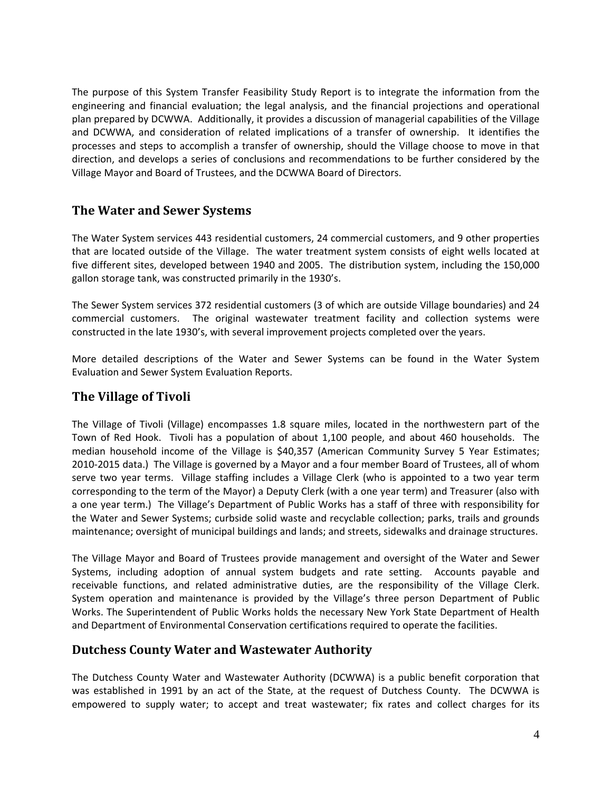The purpose of this System Transfer Feasibility Study Report is to integrate the information from the engineering and financial evaluation; the legal analysis, and the financial projections and operational plan prepared by DCWWA. Additionally, it provides a discussion of managerial capabilities of the Village and DCWWA, and consideration of related implications of a transfer of ownership. It identifies the processes and steps to accomplish a transfer of ownership, should the Village choose to move in that direction, and develops a series of conclusions and recommendations to be further considered by the Village Mayor and Board of Trustees, and the DCWWA Board of Directors.

### **The Water and Sewer Systems**

The Water System services 443 residential customers, 24 commercial customers, and 9 other properties that are located outside of the Village. The water treatment system consists of eight wells located at five different sites, developed between 1940 and 2005. The distribution system, including the 150,000 gallon storage tank, was constructed primarily in the 1930's.

The Sewer System services 372 residential customers (3 of which are outside Village boundaries) and 24 commercial customers. The original wastewater treatment facility and collection systems were constructed in the late 1930's, with several improvement projects completed over the years.

More detailed descriptions of the Water and Sewer Systems can be found in the Water System Evaluation and Sewer System Evaluation Reports.

### **The Village of Tivoli**

The Village of Tivoli (Village) encompasses 1.8 square miles, located in the northwestern part of the Town of Red Hook. Tivoli has a population of about 1,100 people, and about 460 households. The median household income of the Village is \$40,357 (American Community Survey 5 Year Estimates; 2010‐2015 data.) The Village is governed by a Mayor and a four member Board of Trustees, all of whom serve two year terms. Village staffing includes a Village Clerk (who is appointed to a two year term corresponding to the term of the Mayor) a Deputy Clerk (with a one year term) and Treasurer (also with a one year term.) The Village's Department of Public Works has a staff of three with responsibility for the Water and Sewer Systems; curbside solid waste and recyclable collection; parks, trails and grounds maintenance; oversight of municipal buildings and lands; and streets, sidewalks and drainage structures.

The Village Mayor and Board of Trustees provide management and oversight of the Water and Sewer Systems, including adoption of annual system budgets and rate setting. Accounts payable and receivable functions, and related administrative duties, are the responsibility of the Village Clerk. System operation and maintenance is provided by the Village's three person Department of Public Works. The Superintendent of Public Works holds the necessary New York State Department of Health and Department of Environmental Conservation certifications required to operate the facilities.

#### **Dutchess County Water and Wastewater Authority**

The Dutchess County Water and Wastewater Authority (DCWWA) is a public benefit corporation that was established in 1991 by an act of the State, at the request of Dutchess County. The DCWWA is empowered to supply water; to accept and treat wastewater; fix rates and collect charges for its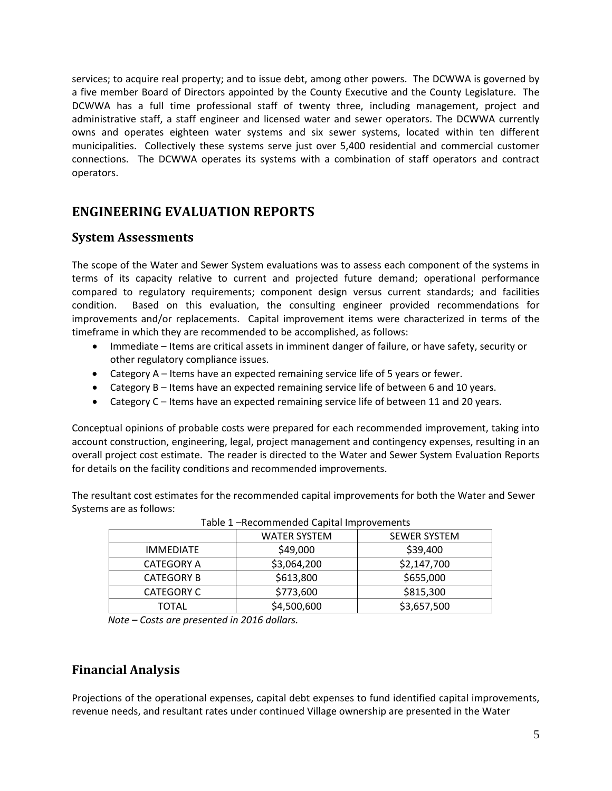services; to acquire real property; and to issue debt, among other powers. The DCWWA is governed by a five member Board of Directors appointed by the County Executive and the County Legislature. The DCWWA has a full time professional staff of twenty three, including management, project and administrative staff, a staff engineer and licensed water and sewer operators. The DCWWA currently owns and operates eighteen water systems and six sewer systems, located within ten different municipalities. Collectively these systems serve just over 5,400 residential and commercial customer connections. The DCWWA operates its systems with a combination of staff operators and contract operators.

# **ENGINEERING EVALUATION REPORTS**

### **System Assessments**

The scope of the Water and Sewer System evaluations was to assess each component of the systems in terms of its capacity relative to current and projected future demand; operational performance compared to regulatory requirements; component design versus current standards; and facilities condition. Based on this evaluation, the consulting engineer provided recommendations for improvements and/or replacements. Capital improvement items were characterized in terms of the timeframe in which they are recommended to be accomplished, as follows:

- Immediate Items are critical assets in imminent danger of failure, or have safety, security or other regulatory compliance issues.
- Category A Items have an expected remaining service life of 5 years or fewer.
- Category B Items have an expected remaining service life of between 6 and 10 years.
- Category C Items have an expected remaining service life of between 11 and 20 years.

Conceptual opinions of probable costs were prepared for each recommended improvement, taking into account construction, engineering, legal, project management and contingency expenses, resulting in an overall project cost estimate. The reader is directed to the Water and Sewer System Evaluation Reports for details on the facility conditions and recommended improvements.

The resultant cost estimates for the recommended capital improvements for both the Water and Sewer Systems are as follows:

| Table 1 –Recommended Capital Improvements |                     |              |  |  |  |  |
|-------------------------------------------|---------------------|--------------|--|--|--|--|
|                                           | <b>WATER SYSTEM</b> | SEWER SYSTEM |  |  |  |  |
| <b>IMMEDIATE</b>                          | \$49,000            | \$39,400     |  |  |  |  |
| <b>CATEGORY A</b>                         | \$3,064,200         | \$2,147,700  |  |  |  |  |
| <b>CATEGORY B</b>                         | \$613,800           | \$655,000    |  |  |  |  |
| <b>CATEGORY C</b>                         | \$773,600           | \$815,300    |  |  |  |  |
| TOTAL                                     | \$4,500,600         | \$3,657,500  |  |  |  |  |

Table 1 –Recommended Capital Improvements

*Note – Costs are presented in 2016 dollars.*

# **Financial Analysis**

Projections of the operational expenses, capital debt expenses to fund identified capital improvements, revenue needs, and resultant rates under continued Village ownership are presented in the Water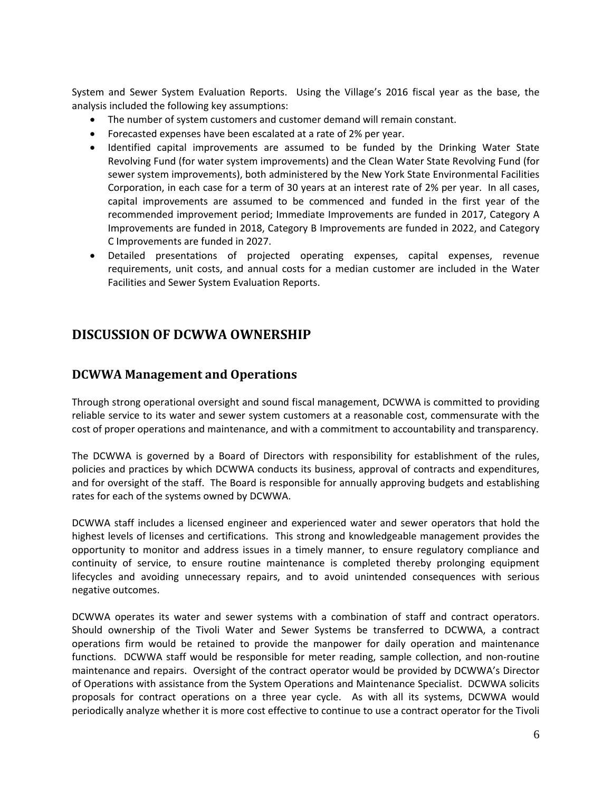System and Sewer System Evaluation Reports. Using the Village's 2016 fiscal year as the base, the analysis included the following key assumptions:

- The number of system customers and customer demand will remain constant.
- Forecasted expenses have been escalated at a rate of 2% per year.
- Identified capital improvements are assumed to be funded by the Drinking Water State Revolving Fund (for water system improvements) and the Clean Water State Revolving Fund (for sewer system improvements), both administered by the New York State Environmental Facilities Corporation, in each case for a term of 30 years at an interest rate of 2% per year. In all cases, capital improvements are assumed to be commenced and funded in the first year of the recommended improvement period; Immediate Improvements are funded in 2017, Category A Improvements are funded in 2018, Category B Improvements are funded in 2022, and Category C Improvements are funded in 2027.
- Detailed presentations of projected operating expenses, capital expenses, revenue requirements, unit costs, and annual costs for a median customer are included in the Water Facilities and Sewer System Evaluation Reports.

# **DISCUSSION OF DCWWA OWNERSHIP**

### **DCWWA Management and Operations**

Through strong operational oversight and sound fiscal management, DCWWA is committed to providing reliable service to its water and sewer system customers at a reasonable cost, commensurate with the cost of proper operations and maintenance, and with a commitment to accountability and transparency.

The DCWWA is governed by a Board of Directors with responsibility for establishment of the rules, policies and practices by which DCWWA conducts its business, approval of contracts and expenditures, and for oversight of the staff. The Board is responsible for annually approving budgets and establishing rates for each of the systems owned by DCWWA.

DCWWA staff includes a licensed engineer and experienced water and sewer operators that hold the highest levels of licenses and certifications. This strong and knowledgeable management provides the opportunity to monitor and address issues in a timely manner, to ensure regulatory compliance and continuity of service, to ensure routine maintenance is completed thereby prolonging equipment lifecycles and avoiding unnecessary repairs, and to avoid unintended consequences with serious negative outcomes.

DCWWA operates its water and sewer systems with a combination of staff and contract operators. Should ownership of the Tivoli Water and Sewer Systems be transferred to DCWWA, a contract operations firm would be retained to provide the manpower for daily operation and maintenance functions. DCWWA staff would be responsible for meter reading, sample collection, and non-routine maintenance and repairs. Oversight of the contract operator would be provided by DCWWA's Director of Operations with assistance from the System Operations and Maintenance Specialist. DCWWA solicits proposals for contract operations on a three year cycle. As with all its systems, DCWWA would periodically analyze whether it is more cost effective to continue to use a contract operator for the Tivoli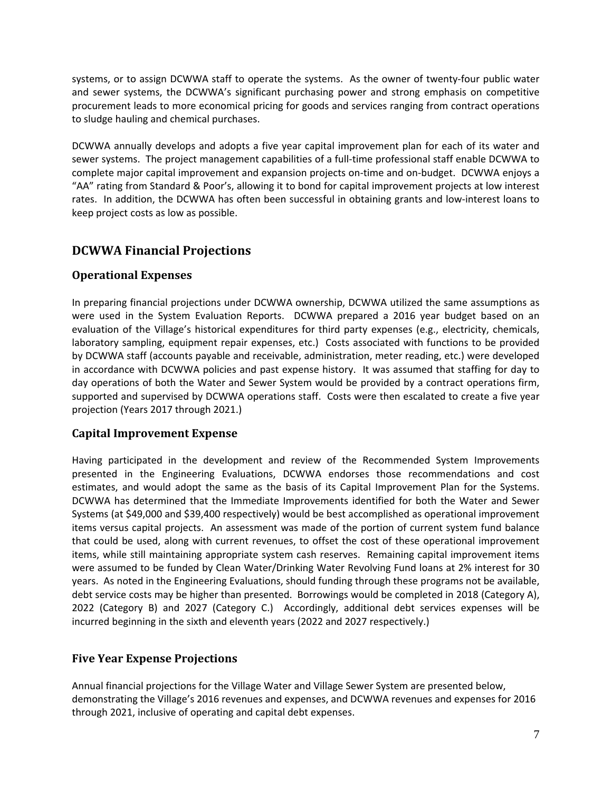systems, or to assign DCWWA staff to operate the systems. As the owner of twenty-four public water and sewer systems, the DCWWA's significant purchasing power and strong emphasis on competitive procurement leads to more economical pricing for goods and services ranging from contract operations to sludge hauling and chemical purchases.

DCWWA annually develops and adopts a five year capital improvement plan for each of its water and sewer systems. The project management capabilities of a full-time professional staff enable DCWWA to complete major capital improvement and expansion projects on‐time and on‐budget. DCWWA enjoys a "AA" rating from Standard & Poor's, allowing it to bond for capital improvement projects at low interest rates. In addition, the DCWWA has often been successful in obtaining grants and low‐interest loans to keep project costs as low as possible.

# **DCWWA Financial Projections**

### **Operational Expenses**

In preparing financial projections under DCWWA ownership, DCWWA utilized the same assumptions as were used in the System Evaluation Reports. DCWWA prepared a 2016 year budget based on an evaluation of the Village's historical expenditures for third party expenses (e.g., electricity, chemicals, laboratory sampling, equipment repair expenses, etc.) Costs associated with functions to be provided by DCWWA staff (accounts payable and receivable, administration, meter reading, etc.) were developed in accordance with DCWWA policies and past expense history. It was assumed that staffing for day to day operations of both the Water and Sewer System would be provided by a contract operations firm, supported and supervised by DCWWA operations staff. Costs were then escalated to create a five year projection (Years 2017 through 2021.)

#### **Capital Improvement Expense**

Having participated in the development and review of the Recommended System Improvements presented in the Engineering Evaluations, DCWWA endorses those recommendations and cost estimates, and would adopt the same as the basis of its Capital Improvement Plan for the Systems. DCWWA has determined that the Immediate Improvements identified for both the Water and Sewer Systems (at \$49,000 and \$39,400 respectively) would be best accomplished as operational improvement items versus capital projects. An assessment was made of the portion of current system fund balance that could be used, along with current revenues, to offset the cost of these operational improvement items, while still maintaining appropriate system cash reserves. Remaining capital improvement items were assumed to be funded by Clean Water/Drinking Water Revolving Fund loans at 2% interest for 30 years. As noted in the Engineering Evaluations, should funding through these programs not be available, debt service costs may be higher than presented. Borrowings would be completed in 2018 (Category A), 2022 (Category B) and 2027 (Category C.) Accordingly, additional debt services expenses will be incurred beginning in the sixth and eleventh years (2022 and 2027 respectively.)

### **Five Year Expense Projections**

Annual financial projections for the Village Water and Village Sewer System are presented below, demonstrating the Village's 2016 revenues and expenses, and DCWWA revenues and expenses for 2016 through 2021, inclusive of operating and capital debt expenses.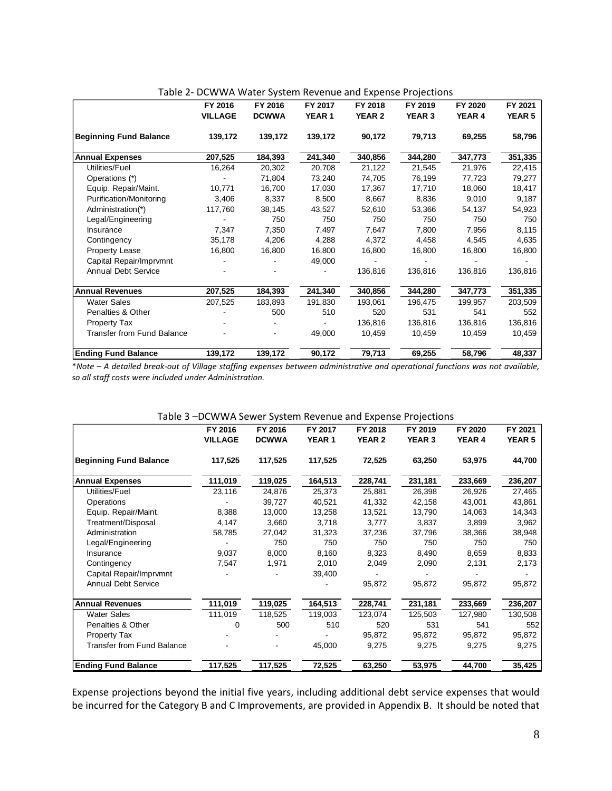|                                   | FY 2016        | FY 2016      | FY 2017 | FY 2018       | FY 2019       | FY 2020 | FY 2021       |
|-----------------------------------|----------------|--------------|---------|---------------|---------------|---------|---------------|
|                                   | <b>VILLAGE</b> | <b>DCWWA</b> | YEAR 1  | <b>YEAR 2</b> | <b>YEAR 3</b> | YEAR 4  | <b>YEAR 5</b> |
| <b>Beginning Fund Balance</b>     | 139,172        | 139,172      | 139,172 | 90,172        | 79,713        | 69,255  | 58,796        |
| <b>Annual Expenses</b>            | 207,525        | 184,393      | 241,340 | 340,856       | 344,280       | 347,773 | 351,335       |
| Utilities/Fuel                    | 16,264         | 20,302       | 20,708  | 21,122        | 21,545        | 21,976  | 22,415        |
| Operations (*)                    |                | 71,804       | 73,240  | 74,705        | 76,199        | 77,723  | 79,277        |
| Equip. Repair/Maint.              | 10,771         | 16,700       | 17,030  | 17,367        | 17,710        | 18,060  | 18,417        |
| Purification/Monitoring           | 3,406          | 8,337        | 8,500   | 8,667         | 8,836         | 9,010   | 9,187         |
| Administration(*)                 | 117,760        | 38,145       | 43,527  | 52,610        | 53,366        | 54,137  | 54,923        |
| Legal/Engineering                 |                | 750          | 750     | 750           | 750           | 750     | 750           |
| Insurance                         | 7,347          | 7,350        | 7,497   | 7,647         | 7,800         | 7,956   | 8,115         |
| Contingency                       | 35,178         | 4,206        | 4,288   | 4,372         | 4,458         | 4,545   | 4,635         |
| <b>Property Lease</b>             | 16,800         | 16,800       | 16,800  | 16,800        | 16,800        | 16,800  | 16,800        |
| Capital Repair/Imprvmnt           |                |              | 49,000  |               |               |         |               |
| Annual Debt Service               |                |              |         | 136,816       | 136,816       | 136,816 | 136,816       |
| <b>Annual Revenues</b>            | 207,525        | 184,393      | 241,340 | 340,856       | 344,280       | 347,773 | 351,335       |
| <b>Water Sales</b>                | 207,525        | 183,893      | 191,830 | 193,061       | 196,475       | 199,957 | 203,509       |
| Penalties & Other                 |                | 500          | 510     | 520           | 531           | 541     | 552           |
| Property Tax                      |                |              |         | 136,816       | 136,816       | 136,816 | 136,816       |
| <b>Transfer from Fund Balance</b> |                |              | 49,000  | 10,459        | 10,459        | 10,459  | 10,459        |
| <b>Ending Fund Balance</b>        | 139,172        | 139,172      | 90,172  | 79,713        | 69,255        | 58,796  | 48,337        |

|  | Table 2- DCWWA Water System Revenue and Expense Projections |  |  |
|--|-------------------------------------------------------------|--|--|
|--|-------------------------------------------------------------|--|--|

\*Note - A detailed break-out of Village staffing expenses between administrative and operational functions was not available, *so all staff costs were included under Administration.*

|                                   | FY 2016<br><b>VILLAGE</b> | FY 2016<br><b>DCWWA</b> | FY 2017<br><b>YEAR1</b> | FY 2018<br><b>YEAR 2</b> | FY 2019<br><b>YEAR 3</b> | FY 2020<br>YEAR 4 | FY 2021<br><b>YEAR 5</b> |
|-----------------------------------|---------------------------|-------------------------|-------------------------|--------------------------|--------------------------|-------------------|--------------------------|
| <b>Beginning Fund Balance</b>     | 117,525                   | 117,525                 | 117,525                 | 72,525                   | 63,250                   | 53,975            | 44,700                   |
| <b>Annual Expenses</b>            | 111,019                   | 119,025                 | 164,513                 | 228,741                  | 231,181                  | 233,669           | 236,207                  |
| Utilities/Fuel                    | 23,116                    | 24,876                  | 25,373                  | 25,881                   | 26,398                   | 26,926            | 27,465                   |
| Operations                        |                           | 39,727                  | 40,521                  | 41,332                   | 42,158                   | 43,001            | 43,861                   |
| Equip. Repair/Maint.              | 8,388                     | 13,000                  | 13,258                  | 13,521                   | 13,790                   | 14,063            | 14,343                   |
| Treatment/Disposal                | 4,147                     | 3,660                   | 3,718                   | 3,777                    | 3,837                    | 3,899             | 3,962                    |
| Administration                    | 58,785                    | 27,042                  | 31,323                  | 37,236                   | 37,796                   | 38,366            | 38,948                   |
| Legal/Engineering                 |                           | 750                     | 750                     | 750                      | 750                      | 750               | 750                      |
| Insurance                         | 9,037                     | 8,000                   | 8,160                   | 8,323                    | 8,490                    | 8,659             | 8,833                    |
| Contingency                       | 7,547                     | 1,971                   | 2,010                   | 2,049                    | 2,090                    | 2,131             | 2,173                    |
| Capital Repair/Imprvmnt           |                           |                         | 39,400                  |                          |                          |                   |                          |
| <b>Annual Debt Service</b>        |                           |                         |                         | 95,872                   | 95,872                   | 95,872            | 95,872                   |
| <b>Annual Revenues</b>            | 111,019                   | 119,025                 | 164,513                 | 228,741                  | 231,181                  | 233,669           | 236,207                  |
| <b>Water Sales</b>                | 111,019                   | 118,525                 | 119,003                 | 123,074                  | 125,503                  | 127,980           | 130,508                  |
| Penalties & Other                 | $\Omega$                  | 500                     | 510                     | 520                      | 531                      | 541               | 552                      |
| <b>Property Tax</b>               |                           |                         |                         | 95,872                   | 95,872                   | 95,872            | 95,872                   |
| <b>Transfer from Fund Balance</b> |                           |                         | 45,000                  | 9,275                    | 9,275                    | 9,275             | 9,275                    |
| <b>Ending Fund Balance</b>        | 117,525                   | 117,525                 | 72,525                  | 63,250                   | 53,975                   | 44,700            | 35,425                   |

Expense projections beyond the initial five years, including additional debt service expenses that would be incurred for the Category B and C Improvements, are provided in Appendix B. It should be noted that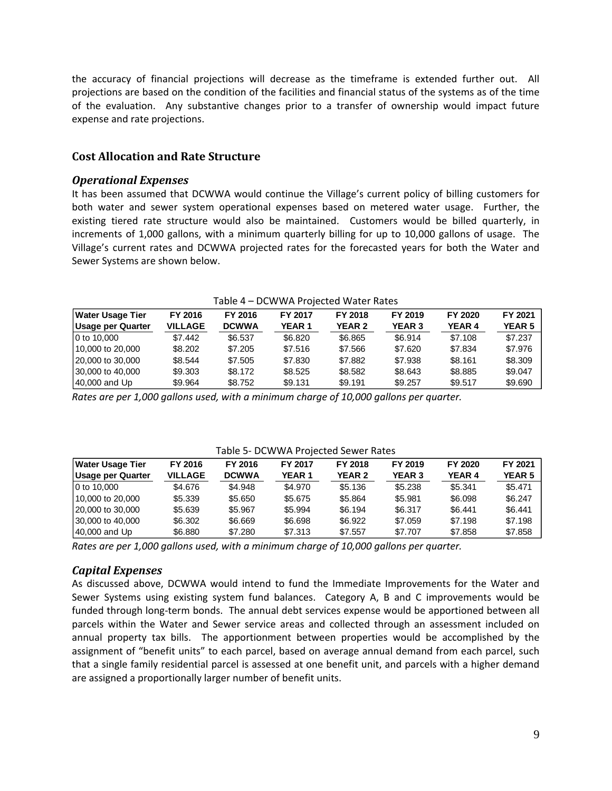the accuracy of financial projections will decrease as the timeframe is extended further out. All projections are based on the condition of the facilities and financial status of the systems as of the time of the evaluation. Any substantive changes prior to a transfer of ownership would impact future expense and rate projections.

#### **Cost Allocation and Rate Structure**

#### *Operational Expenses*

It has been assumed that DCWWA would continue the Village's current policy of billing customers for both water and sewer system operational expenses based on metered water usage. Further, the existing tiered rate structure would also be maintained. Customers would be billed quarterly, in increments of 1,000 gallons, with a minimum quarterly billing for up to 10,000 gallons of usage. The Village's current rates and DCWWA projected rates for the forecasted years for both the Water and Sewer Systems are shown below.

|                          |                |              | Table 4 – DCW WA PTOJECTEU WATEL NATES |               |               |               |               |
|--------------------------|----------------|--------------|----------------------------------------|---------------|---------------|---------------|---------------|
| <b>Water Usage Tier</b>  | FY 2016        | FY 2016      | FY 2017                                | FY 2018       | FY 2019       | FY 2020       | FY 2021       |
| <b>Usage per Quarter</b> | <b>VILLAGE</b> | <b>DCWWA</b> | <b>YEAR 1</b>                          | <b>YEAR 2</b> | <b>YEAR 3</b> | <b>YEAR 4</b> | <b>YEAR 5</b> |
| 10 to 10,000             | \$7.442        | \$6.537      | \$6.820                                | \$6.865       | \$6.914       | \$7.108       | \$7.237       |
| 10,000 to 20,000         | \$8,202        | \$7,205      | \$7.516                                | \$7.566       | \$7.620       | \$7.834       | \$7.976       |
| 20,000 to 30,000         | \$8.544        | \$7.505      | \$7.830                                | \$7.882       | \$7.938       | \$8.161       | \$8,309       |
| 30,000 to 40,000         | \$9.303        | \$8.172      | \$8.525                                | \$8.582       | \$8.643       | \$8.885       | \$9.047       |
| 40,000 and Up            | \$9.964        | \$8.752      | \$9.131                                | \$9.191       | \$9.257       | \$9.517       | \$9,690       |

Table 4 – DCWWA Projected Water Rates

*Rates are per 1,000 gallons used, with a minimum charge of 10,000 gallons per quarter.*

|                         |                |              |              | Table 5- DCWWA Projected Sewer Rates |               |               |               |
|-------------------------|----------------|--------------|--------------|--------------------------------------|---------------|---------------|---------------|
| <b>Water Usage Tier</b> | FY 2016        | FY 2016      | FY 2017      | FY 2018                              | FY 2019       | FY 2020       | FY 2021       |
| Usage per Quarter       | <b>VILLAGE</b> | <b>DCWWA</b> | <b>YEAR1</b> | <b>YEAR 2</b>                        | <b>YEAR 3</b> | <b>YEAR 4</b> | <b>YEAR 5</b> |
| 10 to 10,000            | \$4.676        | \$4.948      | \$4.970      | \$5.136                              | \$5,238       | \$5.341       | \$5.471       |
| 110,000 to 20,000       | \$5,339        | \$5.650      | \$5.675      | \$5.864                              | \$5.981       | \$6.098       | \$6.247       |
| 20,000 to 30,000        | \$5.639        | \$5.967      | \$5.994      | \$6.194                              | \$6.317       | \$6.441       | \$6.441       |
| 30,000 to 40,000        | \$6,302        | \$6,669      | \$6.698      | \$6.922                              | \$7.059       | \$7.198       | \$7.198       |
| $ 40,000$ and Up        | \$6.880        | \$7.280      | \$7.313      | \$7.557                              | \$7.707       | \$7.858       | \$7.858       |

*Rates are per 1,000 gallons used, with a minimum charge of 10,000 gallons per quarter.*

#### *Capital Expenses*

As discussed above, DCWWA would intend to fund the Immediate Improvements for the Water and Sewer Systems using existing system fund balances. Category A, B and C improvements would be funded through long-term bonds. The annual debt services expense would be apportioned between all parcels within the Water and Sewer service areas and collected through an assessment included on annual property tax bills. The apportionment between properties would be accomplished by the assignment of "benefit units" to each parcel, based on average annual demand from each parcel, such that a single family residential parcel is assessed at one benefit unit, and parcels with a higher demand are assigned a proportionally larger number of benefit units.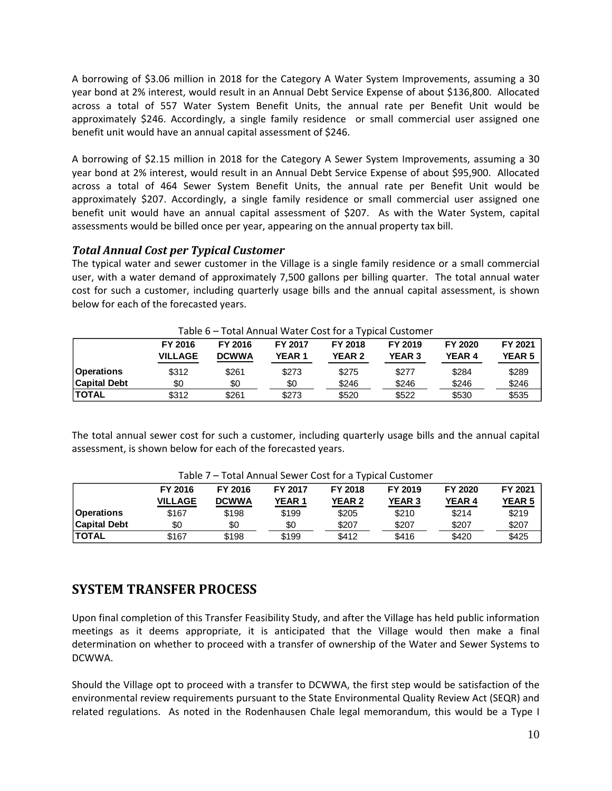A borrowing of \$3.06 million in 2018 for the Category A Water System Improvements, assuming a 30 year bond at 2% interest, would result in an Annual Debt Service Expense of about \$136,800. Allocated across a total of 557 Water System Benefit Units, the annual rate per Benefit Unit would be approximately \$246. Accordingly, a single family residence or small commercial user assigned one benefit unit would have an annual capital assessment of \$246.

A borrowing of \$2.15 million in 2018 for the Category A Sewer System Improvements, assuming a 30 year bond at 2% interest, would result in an Annual Debt Service Expense of about \$95,900. Allocated across a total of 464 Sewer System Benefit Units, the annual rate per Benefit Unit would be approximately \$207. Accordingly, a single family residence or small commercial user assigned one benefit unit would have an annual capital assessment of \$207. As with the Water System, capital assessments would be billed once per year, appearing on the annual property tax bill.

#### *Total Annual Cost per Typical Customer*

The typical water and sewer customer in the Village is a single family residence or a small commercial user, with a water demand of approximately 7,500 gallons per billing quarter. The total annual water cost for such a customer, including quarterly usage bills and the annual capital assessment, is shown below for each of the forecasted years.

|                     |                |              |              |               | Table o – Total Allitual Water Cost for a Typical Custoffiel |               |               |
|---------------------|----------------|--------------|--------------|---------------|--------------------------------------------------------------|---------------|---------------|
|                     | FY 2016        | FY 2016      | FY 2017      | FY 2018       | FY 2019                                                      | FY 2020       | FY 2021       |
|                     | <b>VILLAGE</b> | <b>DCWWA</b> | <b>YEAR1</b> | <b>YEAR 2</b> | <b>YEAR 3</b>                                                | <b>YEAR 4</b> | <b>YEAR 5</b> |
| <b>Operations</b>   | \$312          | \$261        | \$273        | \$275         | \$277                                                        | \$284         | \$289         |
| <b>Capital Debt</b> | \$0            | \$0          | \$0          | \$246         | \$246                                                        | \$246         | \$246         |
| <b>ITOTAL</b>       | \$312          | \$261        | \$273        | \$520         | \$522                                                        | \$530         | \$535         |

Table 6 – Total Annual Water Cost for a Typical Customer

The total annual sewer cost for such a customer, including quarterly usage bills and the annual capital assessment, is shown below for each of the forecasted years.

|                     | FY 2016        | FY 2016      | FY 2017      | FY 2018       | FY 2019       | FY 2020       | FY 2021       |
|---------------------|----------------|--------------|--------------|---------------|---------------|---------------|---------------|
|                     | <b>VILLAGE</b> | <b>DCWWA</b> | <b>YEAR1</b> | <b>YEAR 2</b> | <b>YEAR 3</b> | <b>YEAR 4</b> | <b>YEAR 5</b> |
| <b>Operations</b>   | \$167          | \$198        | \$199        | \$205         | \$210         | \$214         | \$219         |
| <b>Capital Debt</b> | \$0            | \$0          | \$0          | \$207         | \$207         | \$207         | \$207         |
| <b>ITOTAL</b>       | \$167          | \$198        | \$199        | \$412         | \$416         | \$420         | \$425         |

Table 7 – Total Annual Sewer Cost for a Typical Customer

# **SYSTEM TRANSFER PROCESS**

Upon final completion of this Transfer Feasibility Study, and after the Village has held public information meetings as it deems appropriate, it is anticipated that the Village would then make a final determination on whether to proceed with a transfer of ownership of the Water and Sewer Systems to DCWWA.

Should the Village opt to proceed with a transfer to DCWWA, the first step would be satisfaction of the environmental review requirements pursuant to the State Environmental Quality Review Act (SEQR) and related regulations. As noted in the Rodenhausen Chale legal memorandum, this would be a Type I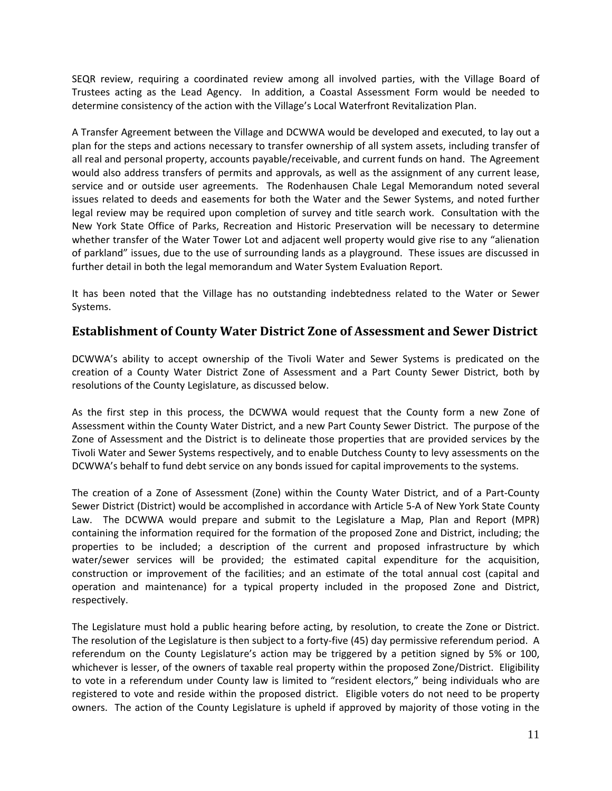SEQR review, requiring a coordinated review among all involved parties, with the Village Board of Trustees acting as the Lead Agency. In addition, a Coastal Assessment Form would be needed to determine consistency of the action with the Village's Local Waterfront Revitalization Plan.

A Transfer Agreement between the Village and DCWWA would be developed and executed, to lay out a plan for the steps and actions necessary to transfer ownership of all system assets, including transfer of all real and personal property, accounts payable/receivable, and current funds on hand. The Agreement would also address transfers of permits and approvals, as well as the assignment of any current lease, service and or outside user agreements. The Rodenhausen Chale Legal Memorandum noted several issues related to deeds and easements for both the Water and the Sewer Systems, and noted further legal review may be required upon completion of survey and title search work. Consultation with the New York State Office of Parks, Recreation and Historic Preservation will be necessary to determine whether transfer of the Water Tower Lot and adjacent well property would give rise to any "alienation of parkland" issues, due to the use of surrounding lands as a playground. These issues are discussed in further detail in both the legal memorandum and Water System Evaluation Report.

It has been noted that the Village has no outstanding indebtedness related to the Water or Sewer Systems.

### **Establishment of County Water District Zone of Assessment and Sewer District**

DCWWA's ability to accept ownership of the Tivoli Water and Sewer Systems is predicated on the creation of a County Water District Zone of Assessment and a Part County Sewer District, both by resolutions of the County Legislature, as discussed below.

As the first step in this process, the DCWWA would request that the County form a new Zone of Assessment within the County Water District, and a new Part County Sewer District. The purpose of the Zone of Assessment and the District is to delineate those properties that are provided services by the Tivoli Water and Sewer Systems respectively, and to enable Dutchess County to levy assessments on the DCWWA's behalf to fund debt service on any bonds issued for capital improvements to the systems.

The creation of a Zone of Assessment (Zone) within the County Water District, and of a Part‐County Sewer District (District) would be accomplished in accordance with Article 5‐A of New York State County Law. The DCWWA would prepare and submit to the Legislature a Map, Plan and Report (MPR) containing the information required for the formation of the proposed Zone and District, including; the properties to be included; a description of the current and proposed infrastructure by which water/sewer services will be provided; the estimated capital expenditure for the acquisition, construction or improvement of the facilities; and an estimate of the total annual cost (capital and operation and maintenance) for a typical property included in the proposed Zone and District, respectively.

The Legislature must hold a public hearing before acting, by resolution, to create the Zone or District. The resolution of the Legislature is then subject to a forty‐five (45) day permissive referendum period. A referendum on the County Legislature's action may be triggered by a petition signed by 5% or 100, whichever is lesser, of the owners of taxable real property within the proposed Zone/District. Eligibility to vote in a referendum under County law is limited to "resident electors," being individuals who are registered to vote and reside within the proposed district. Eligible voters do not need to be property owners. The action of the County Legislature is upheld if approved by majority of those voting in the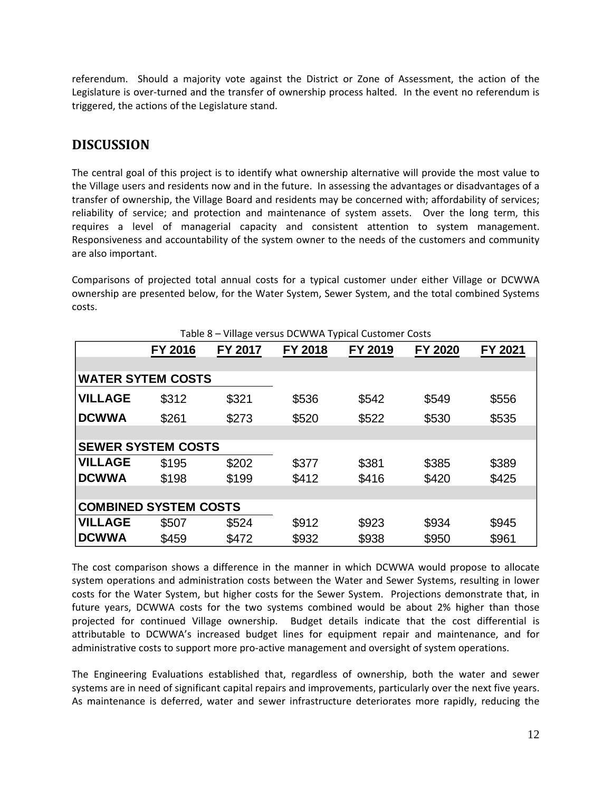referendum. Should a majority vote against the District or Zone of Assessment, the action of the Legislature is over-turned and the transfer of ownership process halted. In the event no referendum is triggered, the actions of the Legislature stand.

# **DISCUSSION**

The central goal of this project is to identify what ownership alternative will provide the most value to the Village users and residents now and in the future. In assessing the advantages or disadvantages of a transfer of ownership, the Village Board and residents may be concerned with; affordability of services; reliability of service; and protection and maintenance of system assets. Over the long term, this requires a level of managerial capacity and consistent attention to system management. Responsiveness and accountability of the system owner to the needs of the customers and community are also important.

Comparisons of projected total annual costs for a typical customer under either Village or DCWWA ownership are presented below, for the Water System, Sewer System, and the total combined Systems costs.

|                              |         |         | Table 8 - Village versus DCWWA Typical Customer Costs |         |         |         |
|------------------------------|---------|---------|-------------------------------------------------------|---------|---------|---------|
|                              | FY 2016 | FY 2017 | FY 2018                                               | FY 2019 | FY 2020 | FY 2021 |
|                              |         |         |                                                       |         |         |         |
| <b>WATER SYTEM COSTS</b>     |         |         |                                                       |         |         |         |
| <b>VILLAGE</b>               | \$312   | \$321   | \$536                                                 | \$542   | \$549   | \$556   |
| <b>DCWWA</b>                 | \$261   | \$273   | \$520                                                 | \$522   | \$530   | \$535   |
|                              |         |         |                                                       |         |         |         |
| <b>SEWER SYSTEM COSTS</b>    |         |         |                                                       |         |         |         |
| <b>VILLAGE</b>               | \$195   | \$202   | \$377                                                 | \$381   | \$385   | \$389   |
| <b>DCWWA</b>                 | \$198   | \$199   | \$412                                                 | \$416   | \$420   | \$425   |
|                              |         |         |                                                       |         |         |         |
| <b>COMBINED SYSTEM COSTS</b> |         |         |                                                       |         |         |         |
| <b>VILLAGE</b>               | \$507   | \$524   | \$912                                                 | \$923   | \$934   | \$945   |
| <b>DCWWA</b>                 | \$459   | \$472   | \$932                                                 | \$938   | \$950   | \$961   |

The cost comparison shows a difference in the manner in which DCWWA would propose to allocate system operations and administration costs between the Water and Sewer Systems, resulting in lower costs for the Water System, but higher costs for the Sewer System. Projections demonstrate that, in future years, DCWWA costs for the two systems combined would be about 2% higher than those projected for continued Village ownership. Budget details indicate that the cost differential is attributable to DCWWA's increased budget lines for equipment repair and maintenance, and for administrative costs to support more pro‐active management and oversight of system operations.

The Engineering Evaluations established that, regardless of ownership, both the water and sewer systems are in need of significant capital repairs and improvements, particularly over the next five years. As maintenance is deferred, water and sewer infrastructure deteriorates more rapidly, reducing the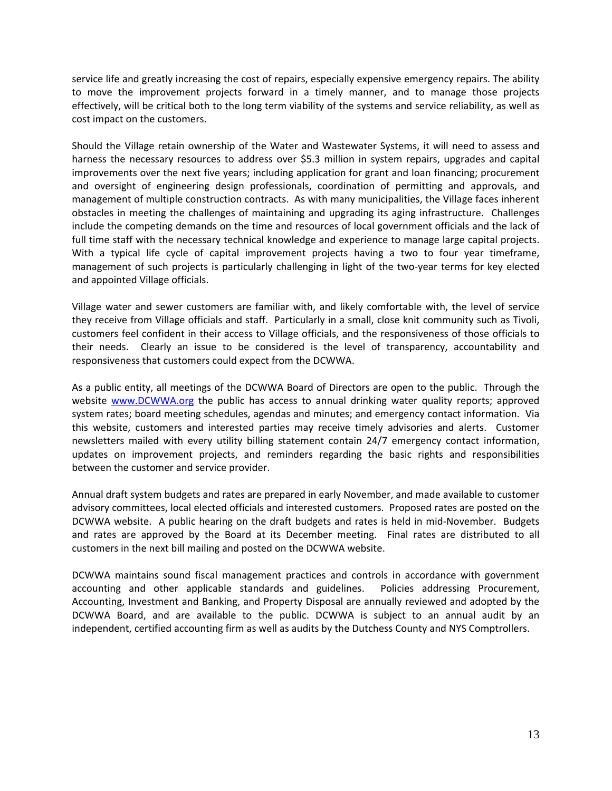service life and greatly increasing the cost of repairs, especially expensive emergency repairs. The ability to move the improvement projects forward in a timely manner, and to manage those projects effectively, will be critical both to the long term viability of the systems and service reliability, as well as cost impact on the customers.

Should the Village retain ownership of the Water and Wastewater Systems, it will need to assess and harness the necessary resources to address over \$5.3 million in system repairs, upgrades and capital improvements over the next five years; including application for grant and loan financing; procurement and oversight of engineering design professionals, coordination of permitting and approvals, and management of multiple construction contracts. As with many municipalities, the Village faces inherent obstacles in meeting the challenges of maintaining and upgrading its aging infrastructure. Challenges include the competing demands on the time and resources of local government officials and the lack of full time staff with the necessary technical knowledge and experience to manage large capital projects. With a typical life cycle of capital improvement projects having a two to four year timeframe, management of such projects is particularly challenging in light of the two‐year terms for key elected and appointed Village officials.

Village water and sewer customers are familiar with, and likely comfortable with, the level of service they receive from Village officials and staff. Particularly in a small, close knit community such as Tivoli, customers feel confident in their access to Village officials, and the responsiveness of those officials to their needs. Clearly an issue to be considered is the level of transparency, accountability and responsiveness that customers could expect from the DCWWA.

As a public entity, all meetings of the DCWWA Board of Directors are open to the public. Through the website www.DCWWA.org the public has access to annual drinking water quality reports; approved system rates; board meeting schedules, agendas and minutes; and emergency contact information. Via this website, customers and interested parties may receive timely advisories and alerts. Customer newsletters mailed with every utility billing statement contain 24/7 emergency contact information, updates on improvement projects, and reminders regarding the basic rights and responsibilities between the customer and service provider.

Annual draft system budgets and rates are prepared in early November, and made available to customer advisory committees, local elected officials and interested customers. Proposed rates are posted on the DCWWA website. A public hearing on the draft budgets and rates is held in mid‐November. Budgets and rates are approved by the Board at its December meeting. Final rates are distributed to all customers in the next bill mailing and posted on the DCWWA website.

DCWWA maintains sound fiscal management practices and controls in accordance with government accounting and other applicable standards and guidelines. Policies addressing Procurement, Accounting, Investment and Banking, and Property Disposal are annually reviewed and adopted by the DCWWA Board, and are available to the public. DCWWA is subject to an annual audit by an independent, certified accounting firm as well as audits by the Dutchess County and NYS Comptrollers.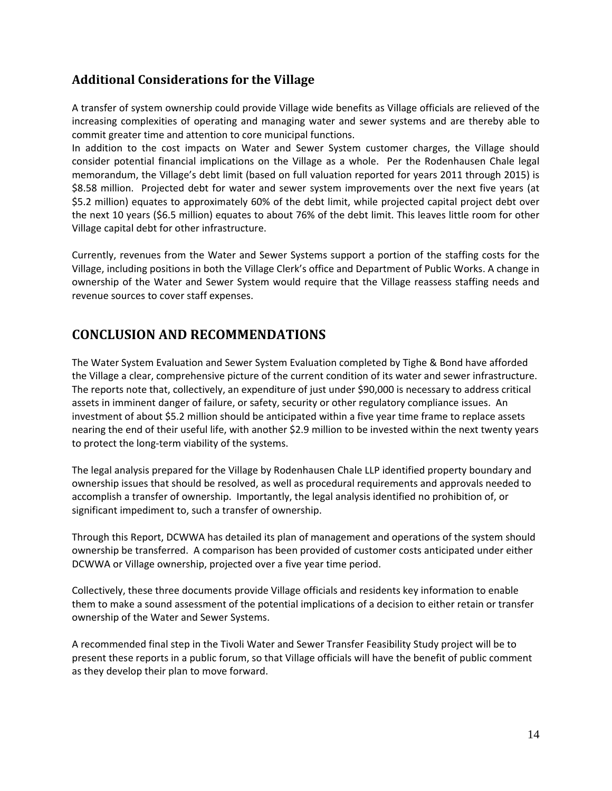### **Additional Considerations for the Village**

A transfer of system ownership could provide Village wide benefits as Village officials are relieved of the increasing complexities of operating and managing water and sewer systems and are thereby able to commit greater time and attention to core municipal functions.

In addition to the cost impacts on Water and Sewer System customer charges, the Village should consider potential financial implications on the Village as a whole. Per the Rodenhausen Chale legal memorandum, the Village's debt limit (based on full valuation reported for years 2011 through 2015) is \$8.58 million. Projected debt for water and sewer system improvements over the next five years (at \$5.2 million) equates to approximately 60% of the debt limit, while projected capital project debt over the next 10 years (\$6.5 million) equates to about 76% of the debt limit. This leaves little room for other Village capital debt for other infrastructure.

Currently, revenues from the Water and Sewer Systems support a portion of the staffing costs for the Village, including positions in both the Village Clerk's office and Department of Public Works. A change in ownership of the Water and Sewer System would require that the Village reassess staffing needs and revenue sources to cover staff expenses.

# **CONCLUSION AND RECOMMENDATIONS**

The Water System Evaluation and Sewer System Evaluation completed by Tighe & Bond have afforded the Village a clear, comprehensive picture of the current condition of its water and sewer infrastructure. The reports note that, collectively, an expenditure of just under \$90,000 is necessary to address critical assets in imminent danger of failure, or safety, security or other regulatory compliance issues. An investment of about \$5.2 million should be anticipated within a five year time frame to replace assets nearing the end of their useful life, with another \$2.9 million to be invested within the next twenty years to protect the long‐term viability of the systems.

The legal analysis prepared for the Village by Rodenhausen Chale LLP identified property boundary and ownership issues that should be resolved, as well as procedural requirements and approvals needed to accomplish a transfer of ownership. Importantly, the legal analysis identified no prohibition of, or significant impediment to, such a transfer of ownership.

Through this Report, DCWWA has detailed its plan of management and operations of the system should ownership be transferred. A comparison has been provided of customer costs anticipated under either DCWWA or Village ownership, projected over a five year time period.

Collectively, these three documents provide Village officials and residents key information to enable them to make a sound assessment of the potential implications of a decision to either retain or transfer ownership of the Water and Sewer Systems.

A recommended final step in the Tivoli Water and Sewer Transfer Feasibility Study project will be to present these reports in a public forum, so that Village officials will have the benefit of public comment as they develop their plan to move forward.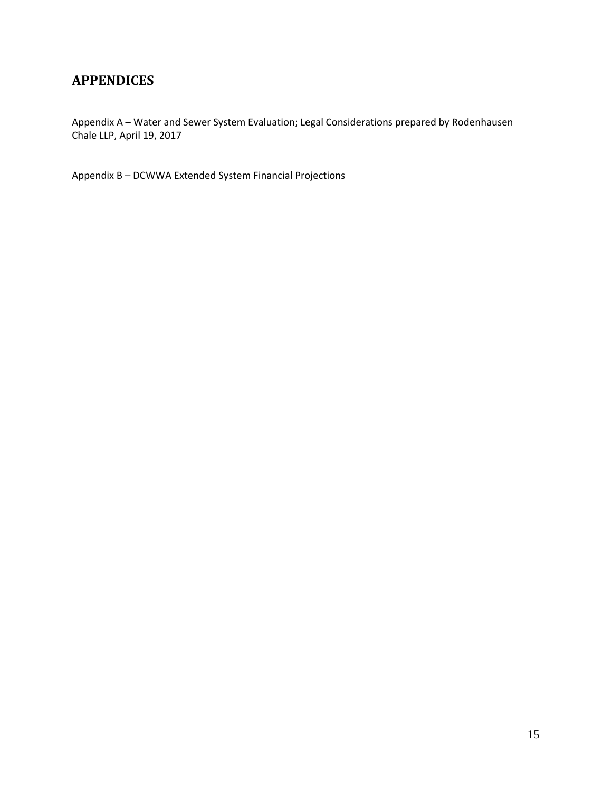# **APPENDICES**

Appendix A – Water and Sewer System Evaluation; Legal Considerations prepared by Rodenhausen Chale LLP, April 19, 2017

Appendix B – DCWWA Extended System Financial Projections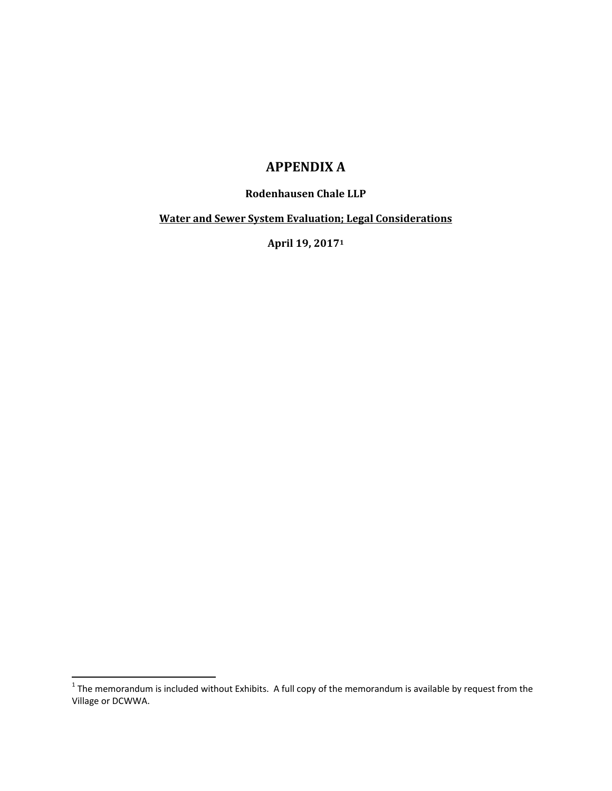# **APPENDIX A**

#### **Rodenhausen Chale LLP**

**Water and Sewer System Evaluation; Legal Considerations**

**April 19, 20171**

 $^1$  The memorandum is included without Exhibits. A full copy of the memorandum is available by request from the Village or DCWWA.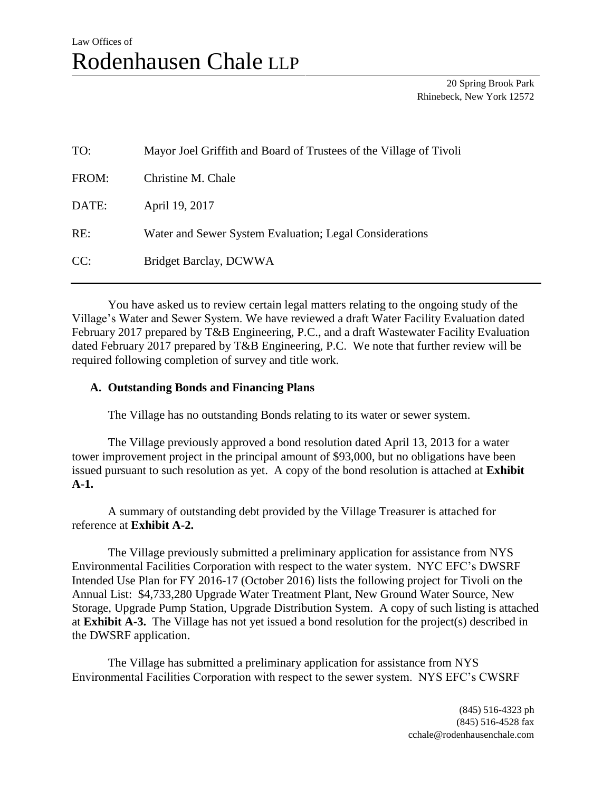# Law Offices of Rodenhausen Chale LLP

20 Spring Brook Park Rhinebeck, New York 12572

| TO:   | Mayor Joel Griffith and Board of Trustees of the Village of Tivoli |
|-------|--------------------------------------------------------------------|
| FROM: | Christine M. Chale                                                 |
| DATE: | April 19, 2017                                                     |
| RE:   | Water and Sewer System Evaluation; Legal Considerations            |
| CC:   | Bridget Barclay, DCWWA                                             |

You have asked us to review certain legal matters relating to the ongoing study of the Village's Water and Sewer System. We have reviewed a draft Water Facility Evaluation dated February 2017 prepared by T&B Engineering, P.C., and a draft Wastewater Facility Evaluation dated February 2017 prepared by T&B Engineering, P.C. We note that further review will be required following completion of survey and title work.

#### **A. Outstanding Bonds and Financing Plans**

The Village has no outstanding Bonds relating to its water or sewer system.

The Village previously approved a bond resolution dated April 13, 2013 for a water tower improvement project in the principal amount of \$93,000, but no obligations have been issued pursuant to such resolution as yet. A copy of the bond resolution is attached at **Exhibit A-1.**

A summary of outstanding debt provided by the Village Treasurer is attached for reference at **Exhibit A-2.**

The Village previously submitted a preliminary application for assistance from NYS Environmental Facilities Corporation with respect to the water system. NYC EFC's DWSRF Intended Use Plan for FY 2016-17 (October 2016) lists the following project for Tivoli on the Annual List: \$4,733,280 Upgrade Water Treatment Plant, New Ground Water Source, New Storage, Upgrade Pump Station, Upgrade Distribution System. A copy of such listing is attached at **Exhibit A-3.** The Village has not yet issued a bond resolution for the project(s) described in the DWSRF application.

The Village has submitted a preliminary application for assistance from NYS Environmental Facilities Corporation with respect to the sewer system. NYS EFC's CWSRF

> (845) 516-4323 ph (845) 516-4528 fax cchale@rodenhausenchale.com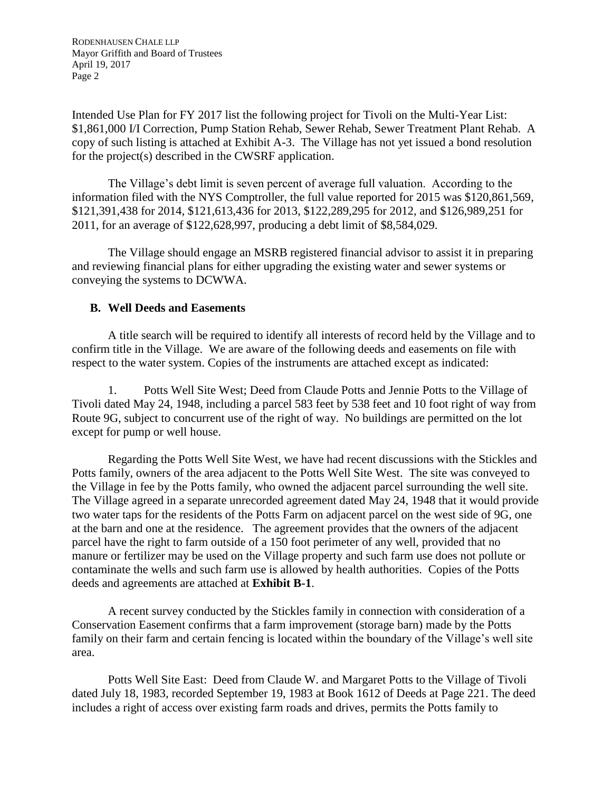RODENHAUSEN CHALE LLP Mayor Griffith and Board of Trustees April 19, 2017 Page 2

Intended Use Plan for FY 2017 list the following project for Tivoli on the Multi-Year List: \$1,861,000 I/I Correction, Pump Station Rehab, Sewer Rehab, Sewer Treatment Plant Rehab. A copy of such listing is attached at Exhibit A-3. The Village has not yet issued a bond resolution for the project(s) described in the CWSRF application.

The Village's debt limit is seven percent of average full valuation. According to the information filed with the NYS Comptroller, the full value reported for 2015 was \$120,861,569, \$121,391,438 for 2014, \$121,613,436 for 2013, \$122,289,295 for 2012, and \$126,989,251 for 2011, for an average of \$122,628,997, producing a debt limit of \$8,584,029.

The Village should engage an MSRB registered financial advisor to assist it in preparing and reviewing financial plans for either upgrading the existing water and sewer systems or conveying the systems to DCWWA.

#### **B. Well Deeds and Easements**

A title search will be required to identify all interests of record held by the Village and to confirm title in the Village. We are aware of the following deeds and easements on file with respect to the water system. Copies of the instruments are attached except as indicated:

1. Potts Well Site West; Deed from Claude Potts and Jennie Potts to the Village of Tivoli dated May 24, 1948, including a parcel 583 feet by 538 feet and 10 foot right of way from Route 9G, subject to concurrent use of the right of way. No buildings are permitted on the lot except for pump or well house.

Regarding the Potts Well Site West, we have had recent discussions with the Stickles and Potts family, owners of the area adjacent to the Potts Well Site West. The site was conveyed to the Village in fee by the Potts family, who owned the adjacent parcel surrounding the well site. The Village agreed in a separate unrecorded agreement dated May 24, 1948 that it would provide two water taps for the residents of the Potts Farm on adjacent parcel on the west side of 9G, one at the barn and one at the residence. The agreement provides that the owners of the adjacent parcel have the right to farm outside of a 150 foot perimeter of any well, provided that no manure or fertilizer may be used on the Village property and such farm use does not pollute or contaminate the wells and such farm use is allowed by health authorities. Copies of the Potts deeds and agreements are attached at **Exhibit B-1**.

A recent survey conducted by the Stickles family in connection with consideration of a Conservation Easement confirms that a farm improvement (storage barn) made by the Potts family on their farm and certain fencing is located within the boundary of the Village's well site area.

Potts Well Site East: Deed from Claude W. and Margaret Potts to the Village of Tivoli dated July 18, 1983, recorded September 19, 1983 at Book 1612 of Deeds at Page 221. The deed includes a right of access over existing farm roads and drives, permits the Potts family to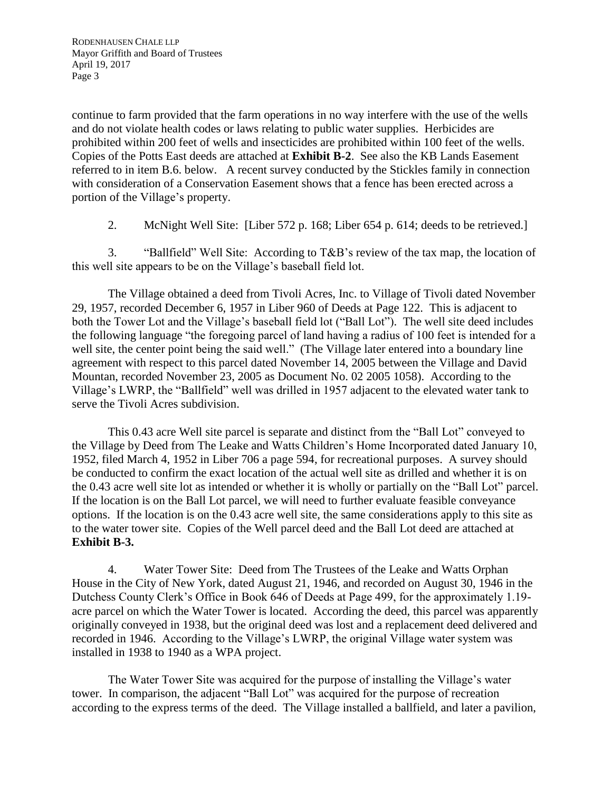continue to farm provided that the farm operations in no way interfere with the use of the wells and do not violate health codes or laws relating to public water supplies. Herbicides are prohibited within 200 feet of wells and insecticides are prohibited within 100 feet of the wells. Copies of the Potts East deeds are attached at **Exhibit B-2**. See also the KB Lands Easement referred to in item B.6. below. A recent survey conducted by the Stickles family in connection with consideration of a Conservation Easement shows that a fence has been erected across a portion of the Village's property.

2. McNight Well Site: [Liber 572 p. 168; Liber 654 p. 614; deeds to be retrieved.]

3. "Ballfield" Well Site: According to T&B's review of the tax map, the location of this well site appears to be on the Village's baseball field lot.

The Village obtained a deed from Tivoli Acres, Inc. to Village of Tivoli dated November 29, 1957, recorded December 6, 1957 in Liber 960 of Deeds at Page 122. This is adjacent to both the Tower Lot and the Village's baseball field lot ("Ball Lot"). The well site deed includes the following language "the foregoing parcel of land having a radius of 100 feet is intended for a well site, the center point being the said well." (The Village later entered into a boundary line agreement with respect to this parcel dated November 14, 2005 between the Village and David Mountan, recorded November 23, 2005 as Document No. 02 2005 1058). According to the Village's LWRP, the "Ballfield" well was drilled in 1957 adjacent to the elevated water tank to serve the Tivoli Acres subdivision.

This 0.43 acre Well site parcel is separate and distinct from the "Ball Lot" conveyed to the Village by Deed from The Leake and Watts Children's Home Incorporated dated January 10, 1952, filed March 4, 1952 in Liber 706 a page 594, for recreational purposes. A survey should be conducted to confirm the exact location of the actual well site as drilled and whether it is on the 0.43 acre well site lot as intended or whether it is wholly or partially on the "Ball Lot" parcel. If the location is on the Ball Lot parcel, we will need to further evaluate feasible conveyance options. If the location is on the 0.43 acre well site, the same considerations apply to this site as to the water tower site. Copies of the Well parcel deed and the Ball Lot deed are attached at **Exhibit B-3.**

4. Water Tower Site: Deed from The Trustees of the Leake and Watts Orphan House in the City of New York, dated August 21, 1946, and recorded on August 30, 1946 in the Dutchess County Clerk's Office in Book 646 of Deeds at Page 499, for the approximately 1.19 acre parcel on which the Water Tower is located. According the deed, this parcel was apparently originally conveyed in 1938, but the original deed was lost and a replacement deed delivered and recorded in 1946. According to the Village's LWRP, the original Village water system was installed in 1938 to 1940 as a WPA project.

The Water Tower Site was acquired for the purpose of installing the Village's water tower. In comparison, the adjacent "Ball Lot" was acquired for the purpose of recreation according to the express terms of the deed. The Village installed a ballfield, and later a pavilion,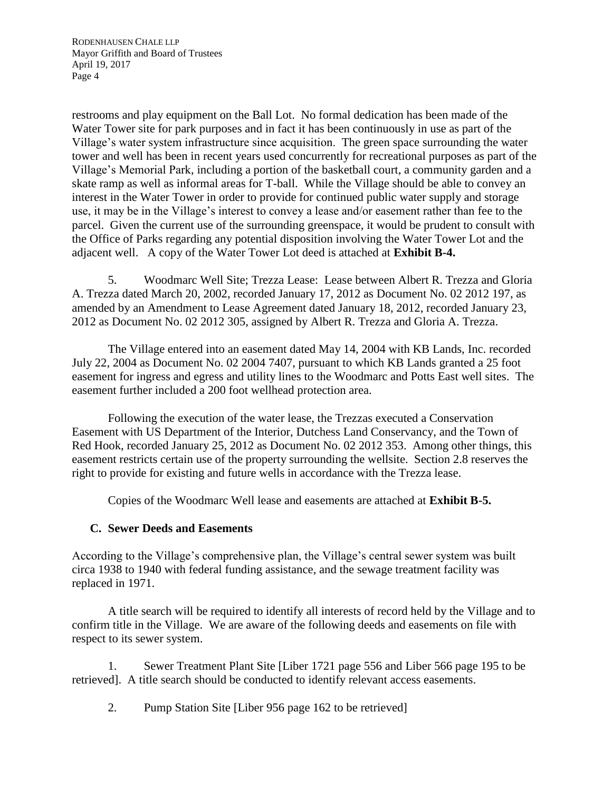RODENHAUSEN CHALE LLP Mayor Griffith and Board of Trustees April 19, 2017 Page 4

restrooms and play equipment on the Ball Lot. No formal dedication has been made of the Water Tower site for park purposes and in fact it has been continuously in use as part of the Village's water system infrastructure since acquisition. The green space surrounding the water tower and well has been in recent years used concurrently for recreational purposes as part of the Village's Memorial Park, including a portion of the basketball court, a community garden and a skate ramp as well as informal areas for T-ball. While the Village should be able to convey an interest in the Water Tower in order to provide for continued public water supply and storage use, it may be in the Village's interest to convey a lease and/or easement rather than fee to the parcel. Given the current use of the surrounding greenspace, it would be prudent to consult with the Office of Parks regarding any potential disposition involving the Water Tower Lot and the adjacent well. A copy of the Water Tower Lot deed is attached at **Exhibit B-4.**

5. Woodmarc Well Site; Trezza Lease: Lease between Albert R. Trezza and Gloria A. Trezza dated March 20, 2002, recorded January 17, 2012 as Document No. 02 2012 197, as amended by an Amendment to Lease Agreement dated January 18, 2012, recorded January 23, 2012 as Document No. 02 2012 305, assigned by Albert R. Trezza and Gloria A. Trezza.

The Village entered into an easement dated May 14, 2004 with KB Lands, Inc. recorded July 22, 2004 as Document No. 02 2004 7407, pursuant to which KB Lands granted a 25 foot easement for ingress and egress and utility lines to the Woodmarc and Potts East well sites. The easement further included a 200 foot wellhead protection area.

Following the execution of the water lease, the Trezzas executed a Conservation Easement with US Department of the Interior, Dutchess Land Conservancy, and the Town of Red Hook, recorded January 25, 2012 as Document No. 02 2012 353. Among other things, this easement restricts certain use of the property surrounding the wellsite. Section 2.8 reserves the right to provide for existing and future wells in accordance with the Trezza lease.

Copies of the Woodmarc Well lease and easements are attached at **Exhibit B-5.**

#### **C. Sewer Deeds and Easements**

According to the Village's comprehensive plan, the Village's central sewer system was built circa 1938 to 1940 with federal funding assistance, and the sewage treatment facility was replaced in 1971.

A title search will be required to identify all interests of record held by the Village and to confirm title in the Village. We are aware of the following deeds and easements on file with respect to its sewer system.

1. Sewer Treatment Plant Site [Liber 1721 page 556 and Liber 566 page 195 to be retrieved]. A title search should be conducted to identify relevant access easements.

2. Pump Station Site [Liber 956 page 162 to be retrieved]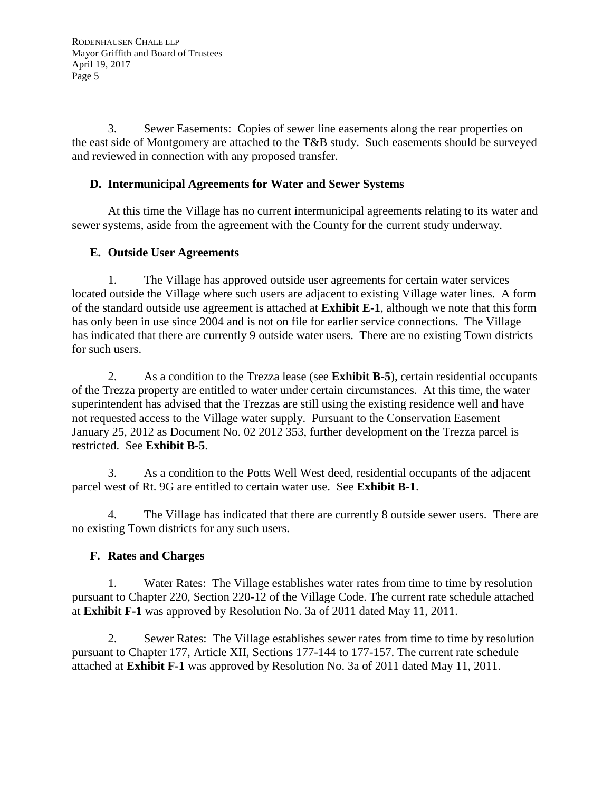3. Sewer Easements: Copies of sewer line easements along the rear properties on the east side of Montgomery are attached to the T&B study. Such easements should be surveyed and reviewed in connection with any proposed transfer.

#### **D. Intermunicipal Agreements for Water and Sewer Systems**

At this time the Village has no current intermunicipal agreements relating to its water and sewer systems, aside from the agreement with the County for the current study underway.

#### **E. Outside User Agreements**

1. The Village has approved outside user agreements for certain water services located outside the Village where such users are adjacent to existing Village water lines. A form of the standard outside use agreement is attached at **Exhibit E-1**, although we note that this form has only been in use since 2004 and is not on file for earlier service connections. The Village has indicated that there are currently 9 outside water users. There are no existing Town districts for such users.

2. As a condition to the Trezza lease (see **Exhibit B-5**), certain residential occupants of the Trezza property are entitled to water under certain circumstances. At this time, the water superintendent has advised that the Trezzas are still using the existing residence well and have not requested access to the Village water supply. Pursuant to the Conservation Easement January 25, 2012 as Document No. 02 2012 353, further development on the Trezza parcel is restricted. See **Exhibit B-5**.

3. As a condition to the Potts Well West deed, residential occupants of the adjacent parcel west of Rt. 9G are entitled to certain water use. See **Exhibit B-1**.

4. The Village has indicated that there are currently 8 outside sewer users. There are no existing Town districts for any such users.

#### **F. Rates and Charges**

1. Water Rates: The Village establishes water rates from time to time by resolution pursuant to Chapter 220, Section 220-12 of the Village Code. The current rate schedule attached at **Exhibit F-1** was approved by Resolution No. 3a of 2011 dated May 11, 2011.

2. Sewer Rates: The Village establishes sewer rates from time to time by resolution pursuant to Chapter 177, Article XII, Sections 177-144 to 177-157. The current rate schedule attached at **Exhibit F-1** was approved by Resolution No. 3a of 2011 dated May 11, 2011.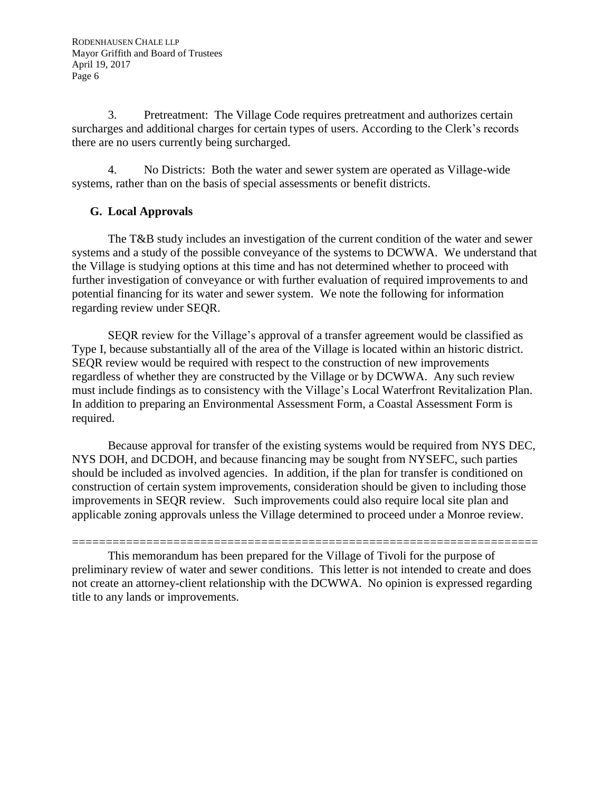3. Pretreatment: The Village Code requires pretreatment and authorizes certain surcharges and additional charges for certain types of users. According to the Clerk's records there are no users currently being surcharged.

4. No Districts: Both the water and sewer system are operated as Village-wide systems, rather than on the basis of special assessments or benefit districts.

### **G. Local Approvals**

The T&B study includes an investigation of the current condition of the water and sewer systems and a study of the possible conveyance of the systems to DCWWA. We understand that the Village is studying options at this time and has not determined whether to proceed with further investigation of conveyance or with further evaluation of required improvements to and potential financing for its water and sewer system. We note the following for information regarding review under SEQR.

SEQR review for the Village's approval of a transfer agreement would be classified as Type I, because substantially all of the area of the Village is located within an historic district. SEQR review would be required with respect to the construction of new improvements regardless of whether they are constructed by the Village or by DCWWA. Any such review must include findings as to consistency with the Village's Local Waterfront Revitalization Plan. In addition to preparing an Environmental Assessment Form, a Coastal Assessment Form is required.

Because approval for transfer of the existing systems would be required from NYS DEC, NYS DOH, and DCDOH, and because financing may be sought from NYSEFC, such parties should be included as involved agencies. In addition, if the plan for transfer is conditioned on construction of certain system improvements, consideration should be given to including those improvements in SEQR review. Such improvements could also require local site plan and applicable zoning approvals unless the Village determined to proceed under a Monroe review.

===================================================================== This memorandum has been prepared for the Village of Tivoli for the purpose of preliminary review of water and sewer conditions. This letter is not intended to create and does not create an attorney-client relationship with the DCWWA. No opinion is expressed regarding title to any lands or improvements.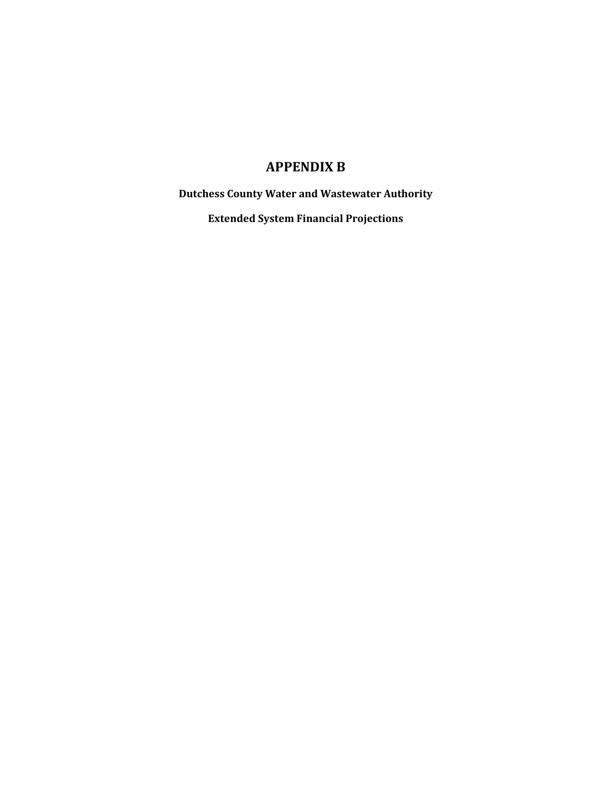# **APPENDIX B**

**Dutchess County Water and Wastewater Authority**

**Extended System Financial Projections**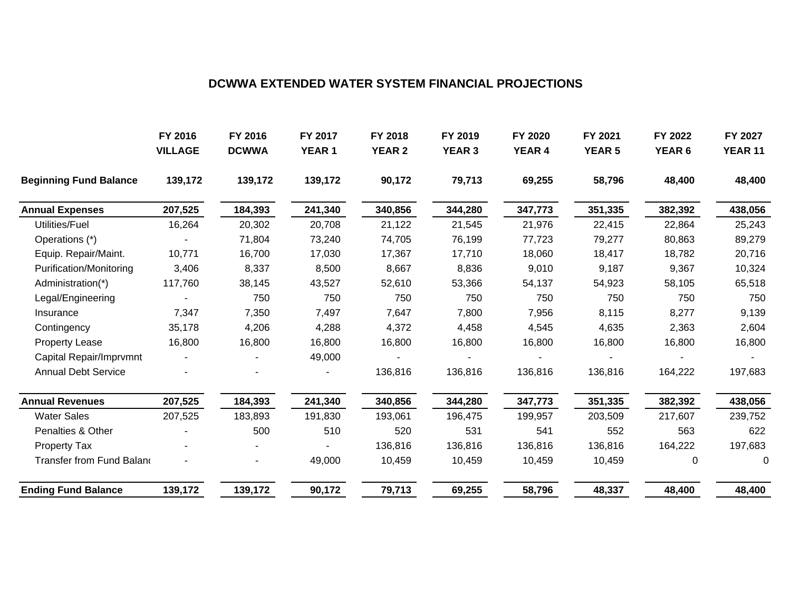### **DCWWA EXTENDED WATER SYSTEM FINANCIAL PROJECTIONS**

|                               | FY 2016        | FY 2016      | FY 2017       | FY 2018       | FY 2019       | FY 2020       | FY 2021       | FY 2022           | FY 2027        |
|-------------------------------|----------------|--------------|---------------|---------------|---------------|---------------|---------------|-------------------|----------------|
|                               | <b>VILLAGE</b> | <b>DCWWA</b> | <b>YEAR 1</b> | <b>YEAR 2</b> | <b>YEAR 3</b> | <b>YEAR 4</b> | <b>YEAR 5</b> | YEAR <sub>6</sub> | <b>YEAR 11</b> |
| <b>Beginning Fund Balance</b> | 139,172        | 139,172      | 139,172       | 90,172        | 79,713        | 69,255        | 58,796        | 48,400            | 48,400         |
| <b>Annual Expenses</b>        | 207,525        | 184,393      | 241,340       | 340,856       | 344,280       | 347,773       | 351,335       | 382,392           | 438,056        |
| Utilities/Fuel                | 16,264         | 20,302       | 20,708        | 21,122        | 21,545        | 21,976        | 22,415        | 22,864            | 25,243         |
| Operations (*)                |                | 71,804       | 73,240        | 74,705        | 76,199        | 77,723        | 79,277        | 80,863            | 89,279         |
| Equip. Repair/Maint.          | 10,771         | 16,700       | 17,030        | 17,367        | 17,710        | 18,060        | 18,417        | 18,782            | 20,716         |
| Purification/Monitoring       | 3,406          | 8,337        | 8,500         | 8,667         | 8,836         | 9,010         | 9,187         | 9,367             | 10,324         |
| Administration(*)             | 117,760        | 38,145       | 43,527        | 52,610        | 53,366        | 54,137        | 54,923        | 58,105            | 65,518         |
| Legal/Engineering             |                | 750          | 750           | 750           | 750           | 750           | 750           | 750               | 750            |
| Insurance                     | 7,347          | 7,350        | 7,497         | 7,647         | 7,800         | 7,956         | 8,115         | 8,277             | 9,139          |
| Contingency                   | 35,178         | 4,206        | 4,288         | 4,372         | 4,458         | 4,545         | 4,635         | 2,363             | 2,604          |
| <b>Property Lease</b>         | 16,800         | 16,800       | 16,800        | 16,800        | 16,800        | 16,800        | 16,800        | 16,800            | 16,800         |
| Capital Repair/Imprvmnt       |                |              | 49,000        |               |               |               |               |                   |                |
| <b>Annual Debt Service</b>    |                |              |               | 136,816       | 136,816       | 136,816       | 136,816       | 164,222           | 197,683        |
| <b>Annual Revenues</b>        | 207,525        | 184,393      | 241,340       | 340,856       | 344,280       | 347,773       | 351,335       | 382,392           | 438,056        |
| <b>Water Sales</b>            | 207,525        | 183,893      | 191,830       | 193,061       | 196,475       | 199,957       | 203,509       | 217,607           | 239,752        |
| Penalties & Other             |                | 500          | 510           | 520           | 531           | 541           | 552           | 563               | 622            |
| <b>Property Tax</b>           |                |              |               | 136,816       | 136,816       | 136,816       | 136,816       | 164,222           | 197,683        |
| Transfer from Fund Balano     |                |              | 49,000        | 10,459        | 10,459        | 10,459        | 10,459        | 0                 | 0              |
| <b>Ending Fund Balance</b>    | 139,172        | 139,172      | 90,172        | 79,713        | 69,255        | 58,796        | 48,337        | 48,400            | 48,400         |